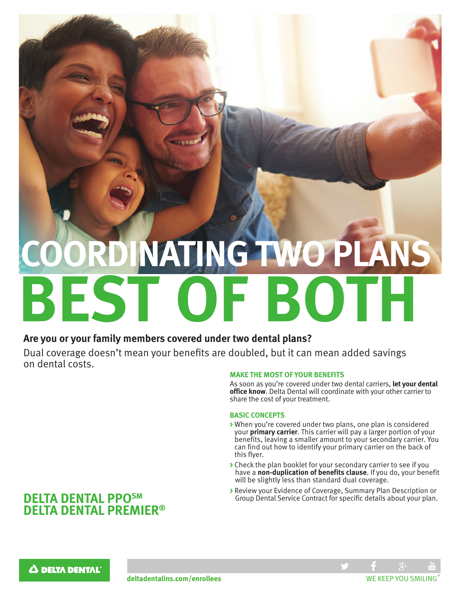# **CONATING TWO PLANS BEST OF BOTH**

### **Are you or your family members covered under two dental plans?**

Dual coverage doesn't mean your benefits are doubled, but it can mean added savings on dental costs.

#### **MAKE THE MOST OF YOUR BENEFITS**

As soon as you're covered under two dental carriers, **let your dental office know**. Delta Dental will coordinate with your other carrier to share the cost of your treatment.

#### **BASIC CONCEPTS**

- **>** When you're covered under two plans, one plan is considered your **primary carrier**. This carrier will pay a larger portion of your benefits, leaving a smaller amount to your secondary carrier. You can find out how to identify your primary carrier on the back of this flyer.
- **>** Check the plan booklet for your secondary carrier to see if you have a **non-duplication of benefits clause**. If you do, your benefit will be slightly less than standard dual coverage.
- **>** Review your Evidence of Coverage, Summary Plan Description or Group Dental Service Contract for specific details about your plan.

## **DELTA DENTAL PPOSM DELTA DENTAL PREMIER®**